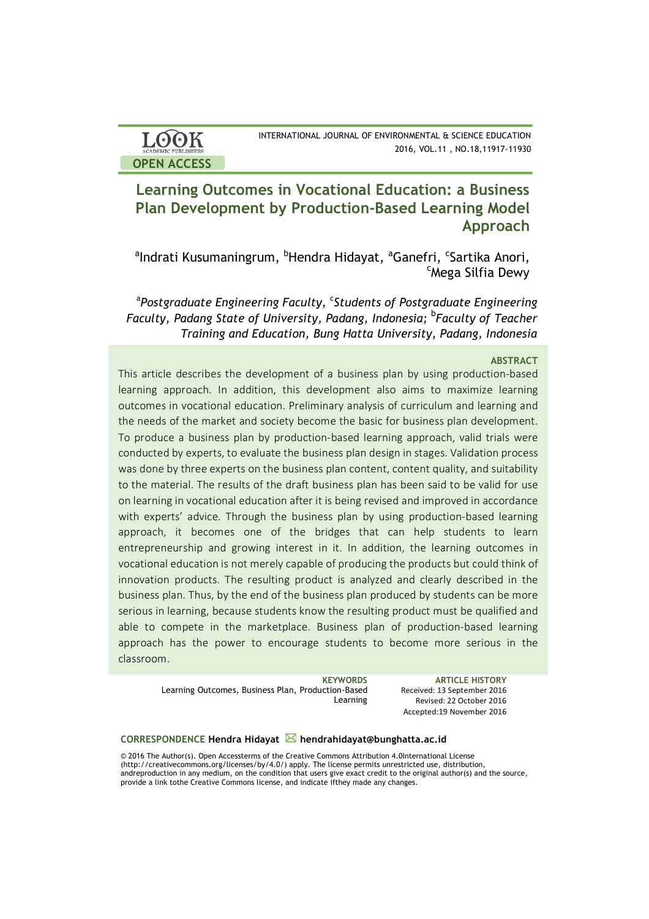| <b>ACADEMIC PUBLISHERS</b> |
|----------------------------|
|                            |

# **Learning Outcomes in Vocational Education: a Business Plan Development by Production-Based Learning Model Approach**

alndrati Kusumaningrum, <sup>b</sup>Hendra Hidayat, <sup>a</sup>Ganefri, <sup>c</sup>Sartika Anori,<br>Choga Silfia Dovy Mega Silfia Dewy

<sup>a</sup>Postgraduate Engineering Faculty, <sup>c</sup>Students of Postgraduate Engineering *Faculty, Padang State of University, Padang, Indonesia;* <sup>b</sup> *Faculty of Teacher Training and Education, Bung Hatta University, Padang, Indonesia*

## **ABSTRACT**

This article describes the development of a business plan by using production-based learning approach. In addition, this development also aims to maximize learning outcomes in vocational education. Preliminary analysis of curriculum and learning and the needs of the market and society become the basic for business plan development. To produce a business plan by production-based learning approach, valid trials were conducted by experts, to evaluate the business plan design in stages. Validation process was done by three experts on the business plan content, content quality, and suitability to the material. The results of the draft business plan has been said to be valid for use on learning in vocational education after it is being revised and improved in accordance with experts' advice. Through the business plan by using production-based learning approach, it becomes one of the bridges that can help students to learn entrepreneurship and growing interest in it. In addition, the learning outcomes in vocational education is not merely capable of producing the products but could think of innovation products. The resulting product is analyzed and clearly described in the business plan. Thus, by the end of the business plan produced by students can be more serious in learning, because students know the resulting product must be qualified and able to compete in the marketplace. Business plan of production-based learning approach has the power to encourage students to become more serious in the classroom.

> Learning Outcomes, Business Plan, Production-Based Learning

**KEYWORDS ARTICLE HISTORY** Received: 13 September 2016 Revised: 22 October 2016 Accepted:19 November 2016

### **CORRESPONDENCE Hendra Hidayat hendrahidayat@bunghatta.ac.id**

© 2016 The Author(s). Open Accessterms of the Creative Commons Attribution 4.0International License (http://creativecommons.org/licenses/by/4.0/) apply. The license permits unrestricted use, distribution, andreproduction in any medium, on the condition that users give exact credit to the original author(s) and the source, provide a link tothe Creative Commons license, and indicate ifthey made any changes.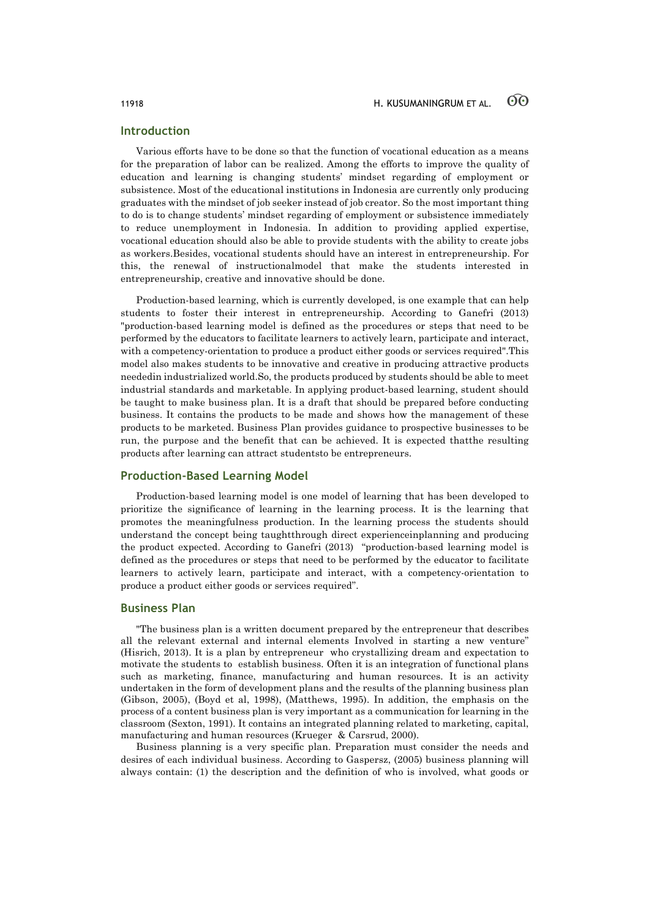### **Introduction**

Various efforts have to be done so that the function of vocational education as a means for the preparation of labor can be realized. Among the efforts to improve the quality of education and learning is changing students' mindset regarding of employment or subsistence. Most of the educational institutions in Indonesia are currently only producing graduates with the mindset of job seeker instead of job creator. So the most important thing to do is to change students' mindset regarding of employment or subsistence immediately to reduce unemployment in Indonesia. In addition to providing applied expertise, vocational education should also be able to provide students with the ability to create jobs as workers.Besides, vocational students should have an interest in entrepreneurship. For this, the renewal of instructionalmodel that make the students interested in entrepreneurship, creative and innovative should be done.

Production-based learning, which is currently developed, is one example that can help students to foster their interest in entrepreneurship. According to Ganefri (2013) "production-based learning model is defined as the procedures or steps that need to be performed by the educators to facilitate learners to actively learn, participate and interact, with a competency-orientation to produce a product either goods or services required".This model also makes students to be innovative and creative in producing attractive products neededin industrialized world.So, the products produced by students should be able to meet industrial standards and marketable. In applying product-based learning, student should be taught to make business plan. It is a draft that should be prepared before conducting business. It contains the products to be made and shows how the management of these products to be marketed. Business Plan provides guidance to prospective businesses to be run, the purpose and the benefit that can be achieved. It is expected thatthe resulting products after learning can attract studentsto be entrepreneurs.

## **Production-Based Learning Model**

Production-based learning model is one model of learning that has been developed to prioritize the significance of learning in the learning process. It is the learning that promotes the meaningfulness production. In the learning process the students should understand the concept being taughtthrough direct experienceinplanning and producing the product expected. According to Ganefri (2013) "production-based learning model is defined as the procedures or steps that need to be performed by the educator to facilitate learners to actively learn, participate and interact, with a competency-orientation to produce a product either goods or services required".

### **Business Plan**

"The business plan is a written document prepared by the entrepreneur that describes all the relevant external and internal elements Involved in starting a new venture" (Hisrich, 2013). It is a plan by entrepreneur who crystallizing dream and expectation to motivate the students to establish business. Often it is an integration of functional plans such as marketing, finance, manufacturing and human resources. It is an activity undertaken in the form of development plans and the results of the planning business plan (Gibson, 2005), (Boyd et al, 1998), (Matthews, 1995). In addition, the emphasis on the process of a content business plan is very important as a communication for learning in the classroom (Sexton, 1991). It contains an integrated planning related to marketing, capital, manufacturing and human resources (Krueger & Carsrud, 2000).

Business planning is a very specific plan. Preparation must consider the needs and desires of each individual business. According to Gaspersz, (2005) business planning will always contain: (1) the description and the definition of who is involved, what goods or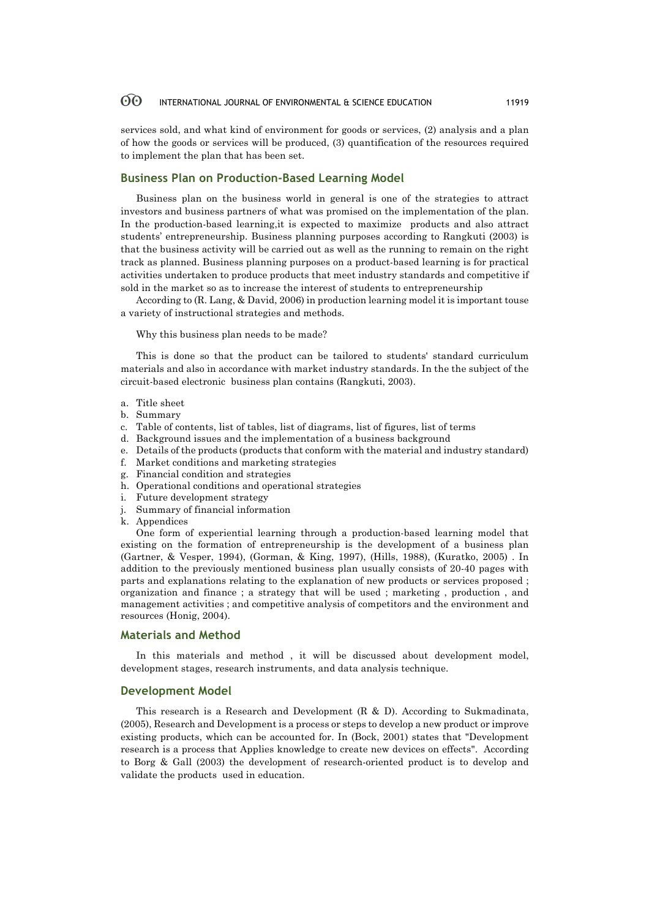services sold, and what kind of environment for goods or services, (2) analysis and a plan of how the goods or services will be produced, (3) quantification of the resources required to implement the plan that has been set.

## **Business Plan on Production-Based Learning Model**

Business plan on the business world in general is one of the strategies to attract investors and business partners of what was promised on the implementation of the plan. In the production-based learning,it is expected to maximize products and also attract students' entrepreneurship. Business planning purposes according to Rangkuti (2003) is that the business activity will be carried out as well as the running to remain on the right track as planned. Business planning purposes on a product-based learning is for practical activities undertaken to produce products that meet industry standards and competitive if sold in the market so as to increase the interest of students to entrepreneurship

According to (R. Lang, & David, 2006) in production learning model it is important touse a variety of instructional strategies and methods.

Why this business plan needs to be made?

This is done so that the product can be tailored to students' standard curriculum materials and also in accordance with market industry standards. In the the subject of the circuit-based electronic business plan contains (Rangkuti, 2003).

- a. Title sheet
- b. Summary
- c. Table of contents, list of tables, list of diagrams, list of figures, list of terms
- d. Background issues and the implementation of a business background
- e. Details of the products (products that conform with the material and industry standard)
- f. Market conditions and marketing strategies
- g. Financial condition and strategies
- h. Operational conditions and operational strategies
- i. Future development strategy
- j. Summary of financial information
- k. Appendices

One form of experiential learning through a production-based learning model that existing on the formation of entrepreneurship is the development of a business plan (Gartner, & Vesper, 1994), (Gorman, & King, 1997), (Hills, 1988), (Kuratko, 2005) . In addition to the previously mentioned business plan usually consists of 20-40 pages with parts and explanations relating to the explanation of new products or services proposed ; organization and finance ; a strategy that will be used ; marketing , production , and management activities ; and competitive analysis of competitors and the environment and resources (Honig, 2004).

### **Materials and Method**

In this materials and method , it will be discussed about development model, development stages, research instruments, and data analysis technique.

### **Development Model**

This research is a Research and Development (R & D). According to Sukmadinata, (2005), Research and Development is a process or steps to develop a new product or improve existing products, which can be accounted for. In (Bock, 2001) states that "Development research is a process that Applies knowledge to create new devices on effects". According to Borg & Gall (2003) the development of research-oriented product is to develop and validate the products used in education.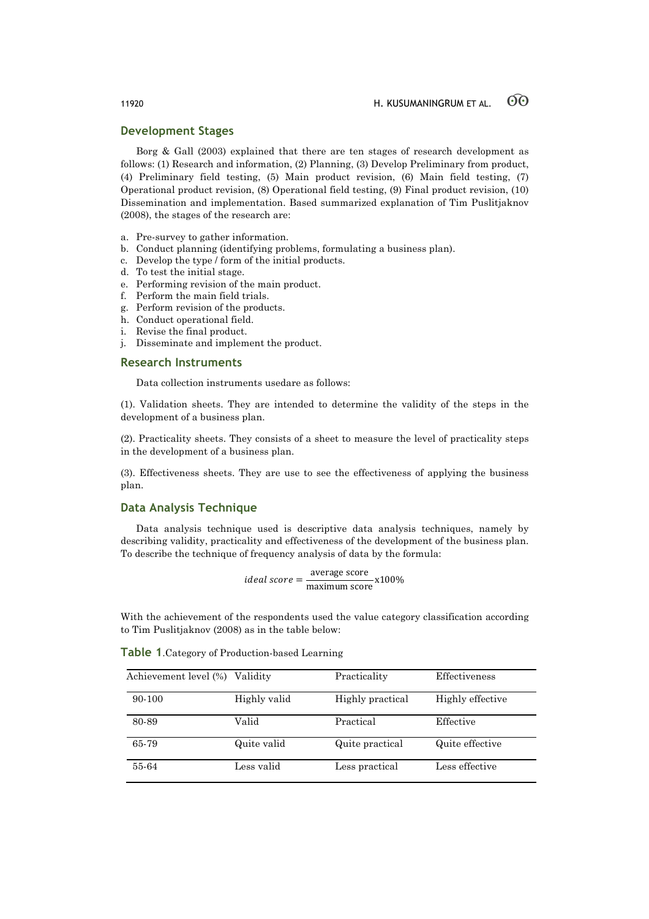### **Development Stages**

Borg & Gall (2003) explained that there are ten stages of research development as follows: (1) Research and information, (2) Planning, (3) Develop Preliminary from product, (4) Preliminary field testing, (5) Main product revision, (6) Main field testing, (7) Operational product revision, (8) Operational field testing, (9) Final product revision, (10) Dissemination and implementation. Based summarized explanation of Tim Puslitjaknov (2008), the stages of the research are:

- a. Pre-survey to gather information.
- b. Conduct planning (identifying problems, formulating a business plan).
- c. Develop the type / form of the initial products.
- d. To test the initial stage.
- e. Performing revision of the main product.
- f. Perform the main field trials.
- g. Perform revision of the products.
- h. Conduct operational field.
- i. Revise the final product.
- j. Disseminate and implement the product.

### **Research Instruments**

Data collection instruments usedare as follows:

(1). Validation sheets. They are intended to determine the validity of the steps in the development of a business plan.

(2). Practicality sheets. They consists of a sheet to measure the level of practicality steps in the development of a business plan.

(3). Effectiveness sheets. They are use to see the effectiveness of applying the business plan.

### **Data Analysis Technique**

Data analysis technique used is descriptive data analysis techniques, namely by describing validity, practicality and effectiveness of the development of the business plan. To describe the technique of frequency analysis of data by the formula:

ideal score = 
$$
\frac{\text{average score}}{\text{maximum score}} \times 100\%
$$

With the achievement of the respondents used the value category classification according to Tim Puslitjaknov (2008) as in the table below:

| Table 1. Category of Production-based Learning |  |  |  |  |  |
|------------------------------------------------|--|--|--|--|--|
|------------------------------------------------|--|--|--|--|--|

| Achievement level (%) | Validity     | Practicality     | Effectiveness    |
|-----------------------|--------------|------------------|------------------|
| 90-100                | Highly valid | Highly practical | Highly effective |
| 80-89                 | Valid        | Practical        | Effective        |
| 65-79                 | Quite valid  | Quite practical  | Quite effective  |
| 55-64                 | Less valid   | Less practical   | Less effective   |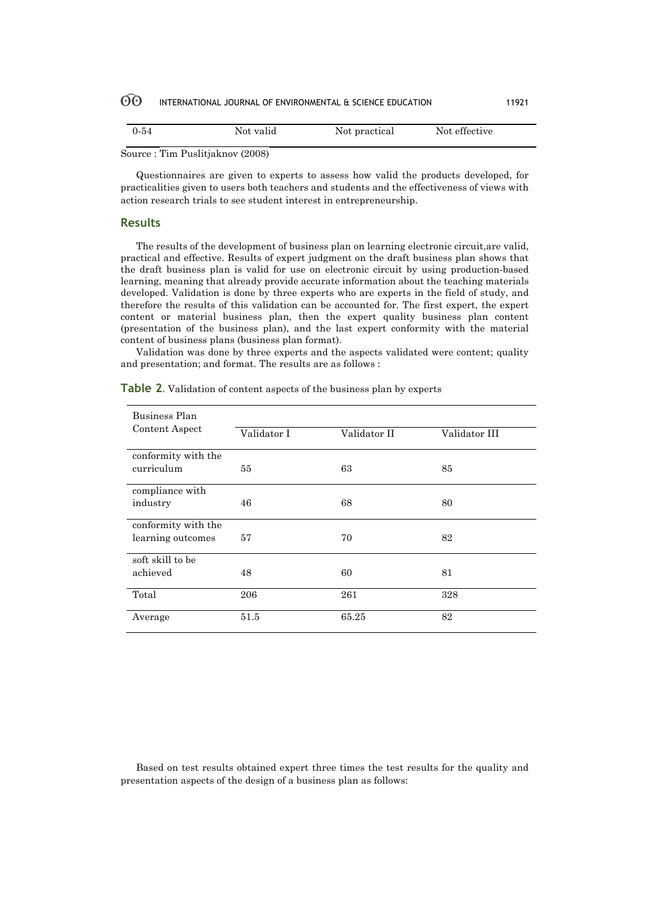| $0 - 54$                                         | Not valid | Not practical | Not effective |  |
|--------------------------------------------------|-----------|---------------|---------------|--|
| --<br><b>Contract Contract Contract Contract</b> |           |               |               |  |

Source : Tim Puslitjaknov (2008)

Questionnaires are given to experts to assess how valid the products developed, for practicalities given to users both teachers and students and the effectiveness of views with action research trials to see student interest in entrepreneurship.

### **Results**

The results of the development of business plan on learning electronic circuit,are valid, practical and effective. Results of expert judgment on the draft business plan shows that the draft business plan is valid for use on electronic circuit by using production-based learning, meaning that already provide accurate information about the teaching materials developed. Validation is done by three experts who are experts in the field of study, and therefore the results of this validation can be accounted for. The first expert, the expert content or material business plan, then the expert quality business plan content (presentation of the business plan), and the last expert conformity with the material content of business plans (business plan format).

Validation was done by three experts and the aspects validated were content; quality and presentation; and format. The results are as follows :

| Business Plan       |             |              |               |
|---------------------|-------------|--------------|---------------|
| Content Aspect      | Validator I | Validator II | Validator III |
| conformity with the |             |              |               |
| curriculum          | 55          | 63           | 85            |
| compliance with     |             |              |               |
| industry            | 46          | 68           | 80            |
| conformity with the |             |              |               |
| learning outcomes   | 57          | 70           | 82            |
| soft skill to be    |             |              |               |
| achieved            | 48          | 60           | 81            |
| Total               | 206         | 261          | 328           |
| Average             | 51.5        | 65.25        | 82            |

**Table 2**. Validation of content aspects of the business plan by experts

Based on test results obtained expert three times the test results for the quality and presentation aspects of the design of a business plan as follows: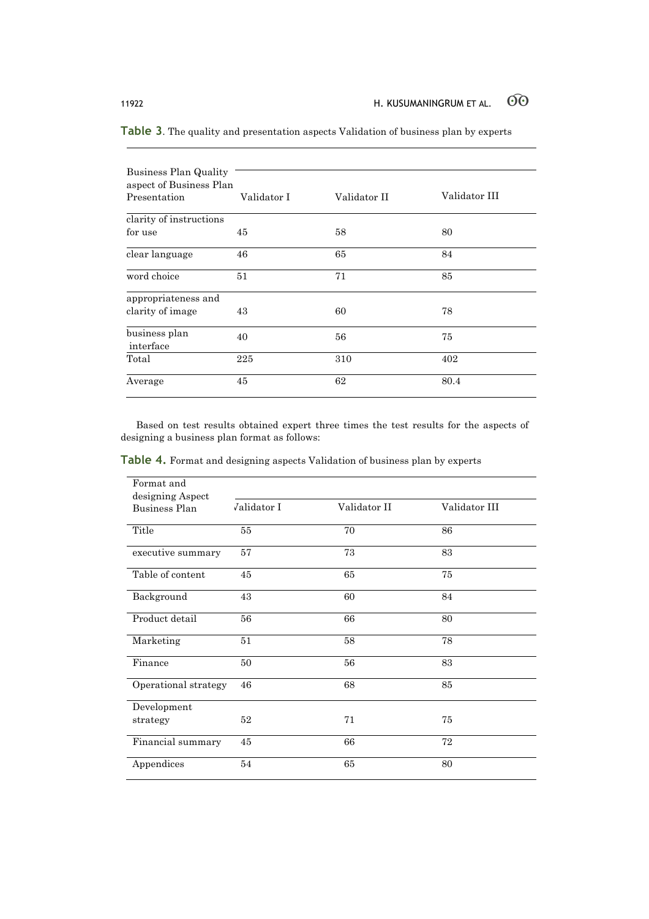| Business Plan Quality                   |             |              |               |
|-----------------------------------------|-------------|--------------|---------------|
| aspect of Business Plan<br>Presentation | Validator I | Validator II | Validator III |
|                                         |             |              |               |
| clarity of instructions                 |             |              |               |
| for use                                 | 45          | 58           | 80            |
| clear language                          | 46          | 65           | 84            |
| word choice                             | 51          | 71           | 85            |
| appropriateness and                     |             |              |               |
| clarity of image                        | 43          | 60           | 78            |
| business plan<br>interface              | 40          | 56           | 75            |
| Total                                   | 225         | 310          | 402           |
| Average                                 | 45          | 62           | 80.4          |

**Table 3**. The quality and presentation aspects Validation of business plan by experts

Based on test results obtained expert three times the test results for the aspects of designing a business plan format as follows:

**Table 4.** Format and designing aspects Validation of business plan by experts

| Format and           |                     |              |               |
|----------------------|---------------------|--------------|---------------|
| designing Aspect     |                     |              |               |
| Business Plan        | <i>V</i> alidator I | Validator II | Validator III |
|                      |                     |              |               |
| Title                | 55                  | 70           | 86            |
|                      |                     |              |               |
| executive summary    | 57                  | 73           | 83            |
|                      |                     |              |               |
| Table of content     | 45                  | 65           | 75            |
|                      |                     |              |               |
| Background           | 43                  | 60           | 84            |
|                      |                     |              |               |
| Product detail       | 56                  | 66           | 80            |
|                      |                     |              |               |
| Marketing            | 51                  | 58           | 78            |
|                      |                     |              |               |
| Finance              | 50                  | 56           | 83            |
|                      |                     |              |               |
| Operational strategy | 46                  | 68           | 85            |
|                      |                     |              |               |
| Development          |                     |              |               |
|                      | 52                  | 71           | 75            |
| strategy             |                     |              |               |
| Financial summary    | 45                  | 66           | 72            |
|                      |                     |              |               |
| Appendices           | 54                  | 65           | 80            |
|                      |                     |              |               |
|                      |                     |              |               |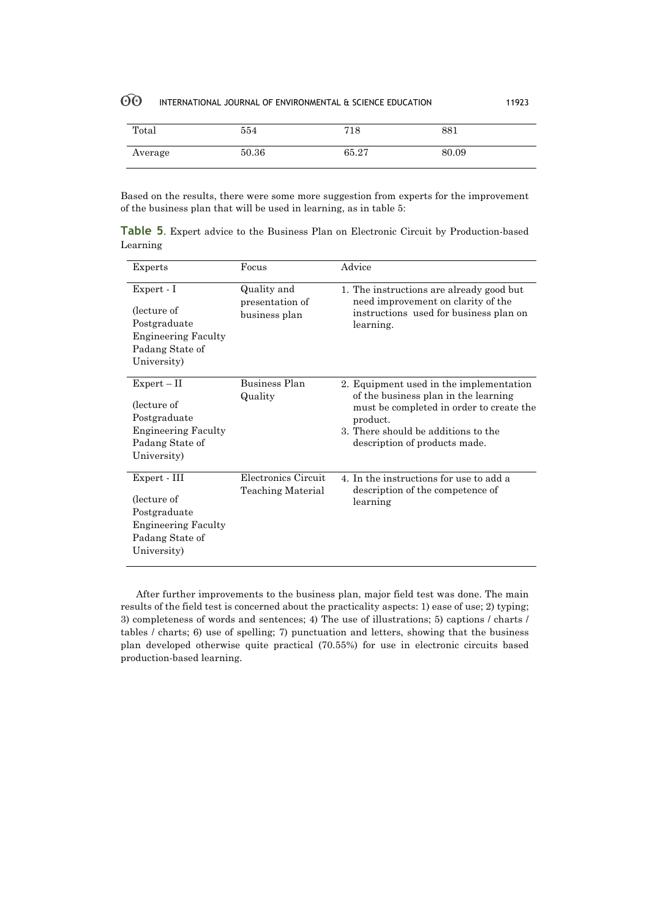| Total   | 554   | 718   | 881   |
|---------|-------|-------|-------|
| Average | 50.36 | 65.27 | 80.09 |

Based on the results, there were some more suggestion from experts for the improvement of the business plan that will be used in learning, as in table 5:

**Table 5**. Expert advice to the Business Plan on Electronic Circuit by Production-based Learning

| Experts                                                                                                      | Focus                                           | Advice                                                                                                                                                                                                          |
|--------------------------------------------------------------------------------------------------------------|-------------------------------------------------|-----------------------------------------------------------------------------------------------------------------------------------------------------------------------------------------------------------------|
| Expert - I<br>(lecture of<br>Postgraduate<br><b>Engineering Faculty</b><br>Padang State of<br>University)    | Quality and<br>presentation of<br>business plan | 1. The instructions are already good but<br>need improvement on clarity of the<br>instructions used for business plan on<br>learning.                                                                           |
| $Expert - II$<br>(lecture of<br>Postgraduate<br><b>Engineering Faculty</b><br>Padang State of<br>University) | Business Plan<br>Quality                        | 2. Equipment used in the implementation<br>of the business plan in the learning<br>must be completed in order to create the<br>product.<br>3. There should be additions to the<br>description of products made. |
| Expert - III<br>(lecture of<br>Postgraduate<br><b>Engineering Faculty</b><br>Padang State of<br>University)  | Electronics Circuit<br>Teaching Material        | 4. In the instructions for use to add a<br>description of the competence of<br>learning                                                                                                                         |

After further improvements to the business plan, major field test was done. The main results of the field test is concerned about the practicality aspects: 1) ease of use; 2) typing; 3) completeness of words and sentences; 4) The use of illustrations; 5) captions / charts / tables / charts; 6) use of spelling; 7) punctuation and letters, showing that the business plan developed otherwise quite practical (70.55%) for use in electronic circuits based production-based learning.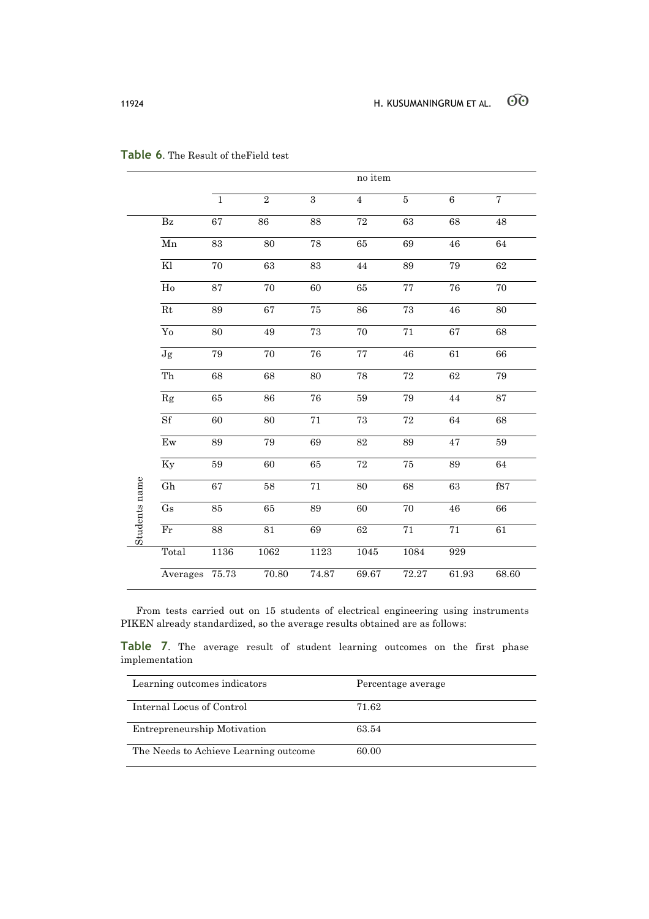|               |                            |                 |                |                 | no item         |                 |                 |                  |
|---------------|----------------------------|-----------------|----------------|-----------------|-----------------|-----------------|-----------------|------------------|
|               |                            | $\mathbf 1$     | $\overline{2}$ | $\overline{3}$  | $\overline{4}$  | $\bf 5$         | $\overline{6}$  | $\overline{7}$   |
|               | $\mathbf{B}\mathbf{z}$     | 67              | 86             | 88              | $\overline{72}$ | 63              | 68              | 48               |
|               | $\overline{\mathrm{Mn}}$   | $\overline{83}$ | 80             | 78              | 65              | 69              | 46              | 64               |
|               | Kl                         | 70              | 63             | 83              | 44              | 89              | 79              | 62               |
|               | Ho                         | 87              | 70             | 60              | 65              | $\overline{77}$ | $\overline{76}$ | $\overline{70}$  |
|               | $\overline{Rt}$            | 89              | 67             | 75              | 86              | 73              | 46              | 80               |
|               | $\overline{Y_0}$           | 80              | 49             | 73              | 70              | $\overline{71}$ | 67              | 68               |
|               | $\overline{\text{Jg}}$     | 79              | 70             | 76              | $\overline{77}$ | 46              | 61              | 66               |
|               | $\overline{Th}$            | 68              | 68             | 80              | 78              | $\overline{72}$ | 62              | 79               |
|               | Rg                         | 65              | 86             | $\overline{76}$ | 59              | 79              | 44              | 87               |
|               | Sf                         | $\overline{60}$ | 80             | $\overline{71}$ | 73              | 72              | 64              | $\overline{68}$  |
|               | $E_{W}$                    | 89              | 79             | 69              | 82              | 89              | 47              | ${\bf \bar{5}9}$ |
|               | <b>Ky</b>                  | 59              | 60             | 65              | $\overline{72}$ | 75              | 89              | 64               |
|               | $\overline{Gh}$            | 67              | 58             | 71              | 80              | 68              | 63              | f87              |
|               | $\overline{\text{Gs}}$     | 85              | 65             | 89              | 60              | 70              | 46              | 66               |
| Students name | $\mathop{\rm Fr}\nolimits$ | 88              | 81             | 69              | 62              | $71\,$          | 71              | 61               |
|               | Total                      | 1136            | 1062           | 1123            | 1045            | 1084            | 929             |                  |
|               | Averages                   | 75.73           | 70.80          | 74.87           | 69.67           | 72.27           | 61.93           | 68.60            |

## **Table 6**. The Result of theField test

From tests carried out on 15 students of electrical engineering using instruments PIKEN already standardized, so the average results obtained are as follows:

**Table 7**. The average result of student learning outcomes on the first phase implementation

| Learning outcomes indicators          | Percentage average |
|---------------------------------------|--------------------|
| Internal Locus of Control             | 71.62              |
| Entrepreneurship Motivation           | 63.54              |
| The Needs to Achieve Learning outcome | 60.00              |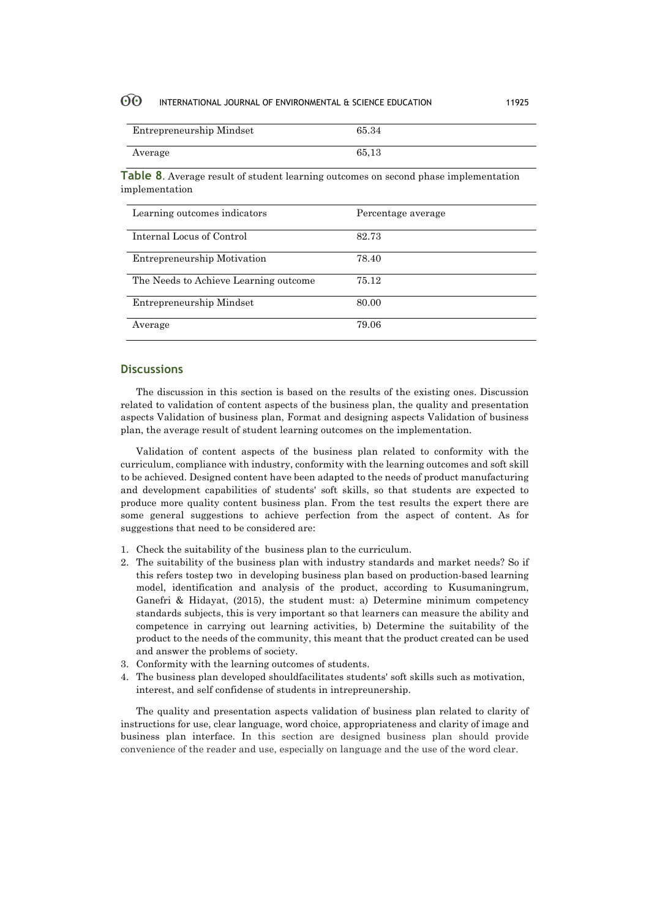| Entrepreneurship Mindset | 65.34 |
|--------------------------|-------|
| Average                  | 65.13 |

**Table 8**. Average result of student learning outcomes on second phase implementation implementation

| Learning outcomes indicators          | Percentage average |
|---------------------------------------|--------------------|
| Internal Locus of Control             | 82.73              |
| <b>Entrepreneurship Motivation</b>    | 78.40              |
| The Needs to Achieve Learning outcome | 75.12              |
| Entrepreneurship Mindset              | 80.00              |
| Average                               | 79.06              |

## **Discussions**

The discussion in this section is based on the results of the existing ones. Discussion related to validation of content aspects of the business plan, the quality and presentation aspects Validation of business plan, Format and designing aspects Validation of business plan, the average result of student learning outcomes on the implementation.

Validation of content aspects of the business plan related to conformity with the curriculum, compliance with industry, conformity with the learning outcomes and soft skill to be achieved. Designed content have been adapted to the needs of product manufacturing and development capabilities of students' soft skills, so that students are expected to produce more quality content business plan. From the test results the expert there are some general suggestions to achieve perfection from the aspect of content. As for suggestions that need to be considered are:

- 1. Check the suitability of the business plan to the curriculum.
- 2. The suitability of the business plan with industry standards and market needs? So if this refers tostep two in developing business plan based on production-based learning model, identification and analysis of the product, according to Kusumaningrum, Ganefri & Hidayat, (2015), the student must: a) Determine minimum competency standards subjects, this is very important so that learners can measure the ability and competence in carrying out learning activities, b) Determine the suitability of the product to the needs of the community, this meant that the product created can be used and answer the problems of society.
- 3. Conformity with the learning outcomes of students.
- 4. The business plan developed shouldfacilitates students' soft skills such as motivation, interest, and self confidense of students in intrepreunership.

The quality and presentation aspects validation of business plan related to clarity of instructions for use, clear language, word choice, appropriateness and clarity of image and business plan interface. In this section are designed business plan should provide convenience of the reader and use, especially on language and the use of the word clear.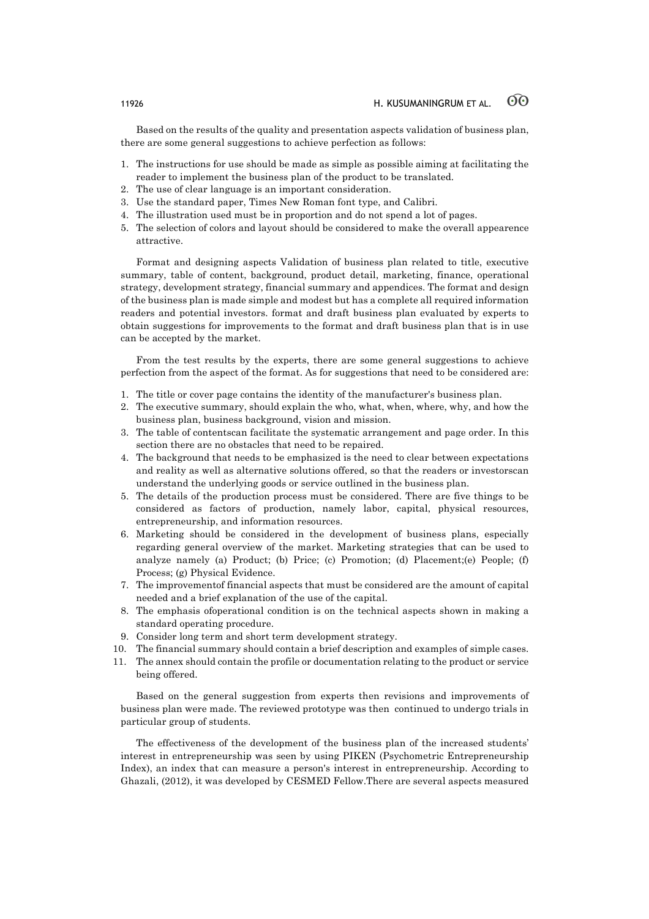Based on the results of the quality and presentation aspects validation of business plan, there are some general suggestions to achieve perfection as follows:

- 1. The instructions for use should be made as simple as possible aiming at facilitating the reader to implement the business plan of the product to be translated.
- The use of clear language is an important consideration.
- 3. Use the standard paper, Times New Roman font type, and Calibri.
- 4. The illustration used must be in proportion and do not spend a lot of pages.
- 5. The selection of colors and layout should be considered to make the overall appearence attractive.

Format and designing aspects Validation of business plan related to title, executive summary, table of content, background, product detail, marketing, finance, operational strategy, development strategy, financial summary and appendices. The format and design of the business plan is made simple and modest but has a complete all required information readers and potential investors. format and draft business plan evaluated by experts to obtain suggestions for improvements to the format and draft business plan that is in use can be accepted by the market.

From the test results by the experts, there are some general suggestions to achieve perfection from the aspect of the format. As for suggestions that need to be considered are:

- 1. The title or cover page contains the identity of the manufacturer's business plan.
- 2. The executive summary, should explain the who, what, when, where, why, and how the business plan, business background, vision and mission.
- 3. The table of contentscan facilitate the systematic arrangement and page order. In this section there are no obstacles that need to be repaired.
- 4. The background that needs to be emphasized is the need to clear between expectations and reality as well as alternative solutions offered, so that the readers or investorscan understand the underlying goods or service outlined in the business plan.
- 5. The details of the production process must be considered. There are five things to be considered as factors of production, namely labor, capital, physical resources, entrepreneurship, and information resources.
- 6. Marketing should be considered in the development of business plans, especially regarding general overview of the market. Marketing strategies that can be used to analyze namely (a) Product; (b) Price; (c) Promotion; (d) Placement;(e) People; (f) Process; (g) Physical Evidence.
- 7. The improvementof financial aspects that must be considered are the amount of capital needed and a brief explanation of the use of the capital.
- 8. The emphasis ofoperational condition is on the technical aspects shown in making a standard operating procedure.
- 9. Consider long term and short term development strategy.
- 10. The financial summary should contain a brief description and examples of simple cases.
- 11. The annex should contain the profile or documentation relating to the product or service being offered.

Based on the general suggestion from experts then revisions and improvements of business plan were made. The reviewed prototype was then continued to undergo trials in particular group of students.

The effectiveness of the development of the business plan of the increased students' interest in entrepreneurship was seen by using PIKEN (Psychometric Entrepreneurship Index), an index that can measure a person's interest in entrepreneurship. According to Ghazali, (2012), it was developed by CESMED Fellow.There are several aspects measured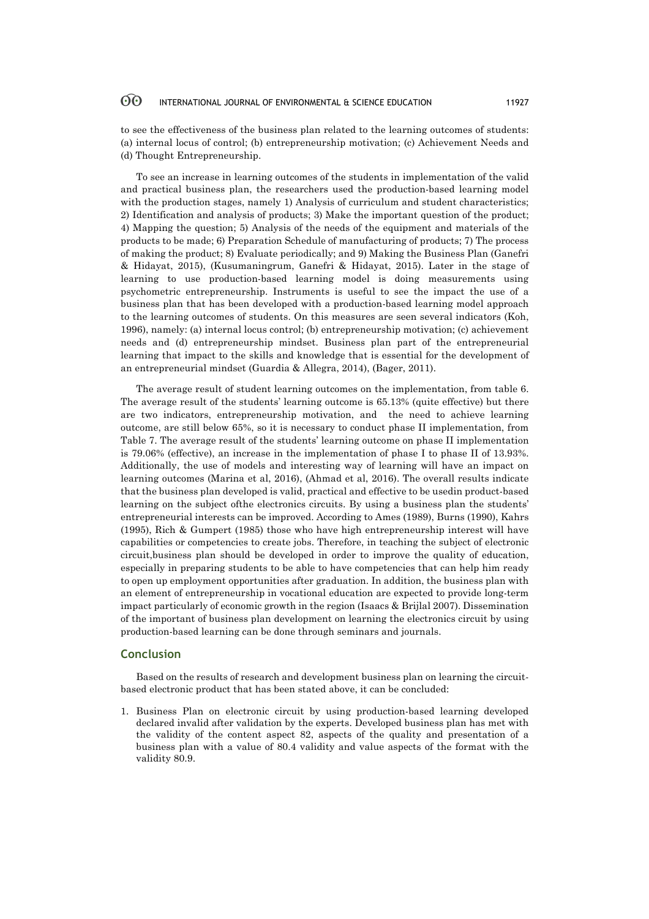to see the effectiveness of the business plan related to the learning outcomes of students: (a) internal locus of control; (b) entrepreneurship motivation; (c) Achievement Needs and (d) Thought Entrepreneurship.

To see an increase in learning outcomes of the students in implementation of the valid and practical business plan, the researchers used the production-based learning model with the production stages, namely 1) Analysis of curriculum and student characteristics; 2) Identification and analysis of products; 3) Make the important question of the product; 4) Mapping the question; 5) Analysis of the needs of the equipment and materials of the products to be made; 6) Preparation Schedule of manufacturing of products; 7) The process of making the product; 8) Evaluate periodically; and 9) Making the Business Plan (Ganefri & Hidayat, 2015), (Kusumaningrum, Ganefri & Hidayat, 2015). Later in the stage of learning to use production-based learning model is doing measurements using psychometric entrepreneurship. Instruments is useful to see the impact the use of a business plan that has been developed with a production-based learning model approach to the learning outcomes of students. On this measures are seen several indicators (Koh, 1996), namely: (a) internal locus control; (b) entrepreneurship motivation; (c) achievement needs and (d) entrepreneurship mindset. Business plan part of the entrepreneurial learning that impact to the skills and knowledge that is essential for the development of an entrepreneurial mindset (Guardia & Allegra, 2014), (Bager, 2011).

The average result of student learning outcomes on the implementation, from table 6. The average result of the students' learning outcome is 65.13% (quite effective) but there are two indicators, entrepreneurship motivation, and the need to achieve learning outcome, are still below 65%, so it is necessary to conduct phase II implementation, from Table 7. The average result of the students' learning outcome on phase II implementation is 79.06% (effective), an increase in the implementation of phase I to phase II of 13.93%. Additionally, the use of models and interesting way of learning will have an impact on learning outcomes (Marina et al, 2016), (Ahmad et al, 2016). The overall results indicate that the business plan developed is valid, practical and effective to be usedin product-based learning on the subject ofthe electronics circuits. By using a business plan the students' entrepreneurial interests can be improved. According to Ames (1989), Burns (1990), Kahrs (1995), Rich & Gumpert (1985) those who have high entrepreneurship interest will have capabilities or competencies to create jobs. Therefore, in teaching the subject of electronic circuit,business plan should be developed in order to improve the quality of education, especially in preparing students to be able to have competencies that can help him ready to open up employment opportunities after graduation. In addition, the business plan with an element of entrepreneurship in vocational education are expected to provide long-term impact particularly of economic growth in the region (Isaacs & Brijlal 2007). Dissemination of the important of business plan development on learning the electronics circuit by using production-based learning can be done through seminars and journals.

### **Conclusion**

Based on the results of research and development business plan on learning the circuitbased electronic product that has been stated above, it can be concluded:

1. Business Plan on electronic circuit by using production-based learning developed declared invalid after validation by the experts. Developed business plan has met with the validity of the content aspect 82, aspects of the quality and presentation of a business plan with a value of 80.4 validity and value aspects of the format with the validity 80.9.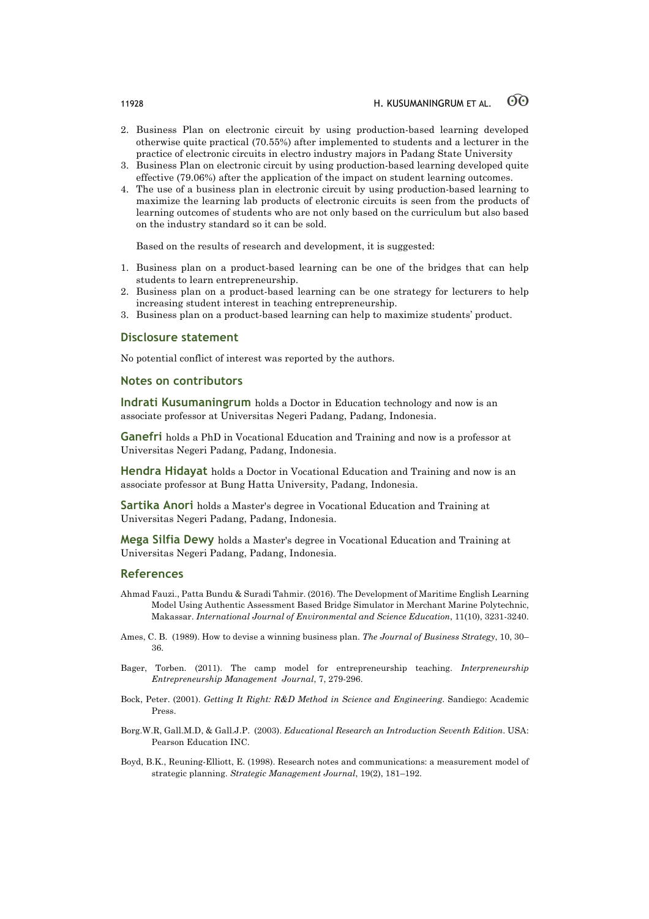- 2. Business Plan on electronic circuit by using production-based learning developed otherwise quite practical (70.55%) after implemented to students and a lecturer in the practice of electronic circuits in electro industry majors in Padang State University
- 3. Business Plan on electronic circuit by using production-based learning developed quite effective (79.06%) after the application of the impact on student learning outcomes.
- 4. The use of a business plan in electronic circuit by using production-based learning to maximize the learning lab products of electronic circuits is seen from the products of learning outcomes of students who are not only based on the curriculum but also based on the industry standard so it can be sold.

Based on the results of research and development, it is suggested:

- 1. Business plan on a product-based learning can be one of the bridges that can help students to learn entrepreneurship.
- 2. Business plan on a product-based learning can be one strategy for lecturers to help increasing student interest in teaching entrepreneurship.
- 3. Business plan on a product-based learning can help to maximize students' product.

### **Disclosure statement**

No potential conflict of interest was reported by the authors.

### **Notes on contributors**

**Indrati Kusumaningrum** holds a Doctor in Education technology and now is an associate professor at Universitas Negeri Padang, Padang, Indonesia.

**Ganefri** holds a PhD in Vocational Education and Training and now is a professor at Universitas Negeri Padang, Padang, Indonesia.

**Hendra Hidayat** holds a Doctor in Vocational Education and Training and now is an associate professor at Bung Hatta University, Padang, Indonesia.

**Sartika Anori** holds a Master's degree in Vocational Education and Training at Universitas Negeri Padang, Padang, Indonesia.

**Mega Silfia Dewy** holds a Master's degree in Vocational Education and Training at Universitas Negeri Padang, Padang, Indonesia.

### **References**

- Ahmad Fauzi., Patta Bundu & Suradi Tahmir. (2016). The Development of Maritime English Learning Model Using Authentic Assessment Based Bridge Simulator in Merchant Marine Polytechnic, Makassar. *International Journal of Environmental and Science Education*, 11(10), 3231-3240.
- Ames, C. B. (1989). How to devise a winning business plan. *The Journal of Business Strategy*, 10, 30– 36.
- Bager, Torben. (2011). The camp model for entrepreneurship teaching. *Interpreneurship Entrepreneurship Management Journal*, 7, 279-296.
- Bock, Peter. (2001). *Getting It Right: R&D Method in Science and Engineering*. Sandiego: Academic Press.
- Borg.W.R, Gall.M.D, & Gall.J.P. (2003). *Educational Research an Introduction Seventh Edition*. USA: Pearson Education INC.
- Boyd, B.K., Reuning-Elliott, E. (1998). Research notes and communications: a measurement model of strategic planning. *Strategic Management Journal*, 19(2), 181–192.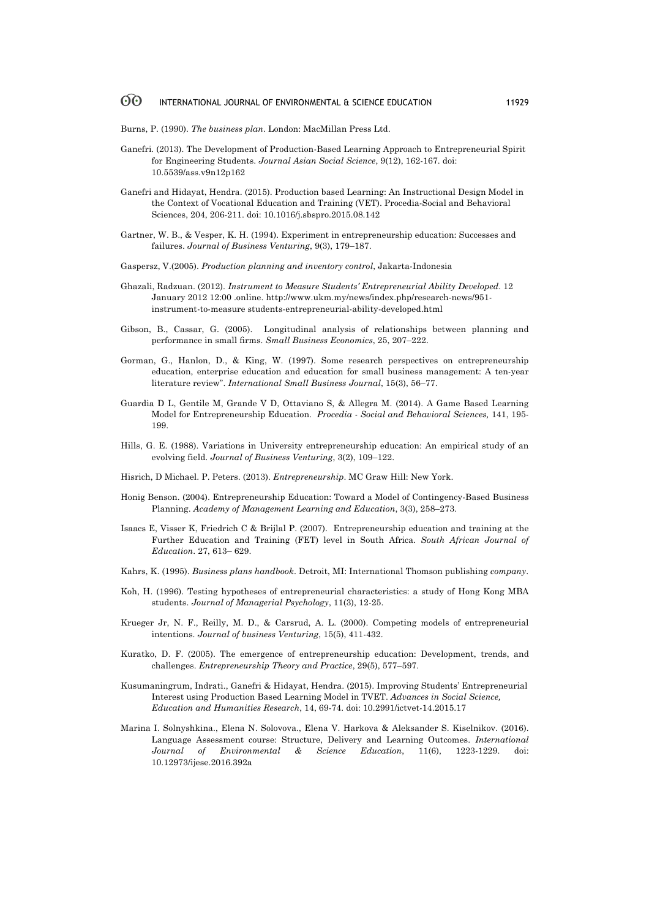Burns, P. (1990). *The business plan*. London: MacMillan Press Ltd.

- Ganefri. (2013). The Development of Production-Based Learning Approach to Entrepreneurial Spirit for Engineering Students. *Journal Asian Social Science*, 9(12), 162-167. doi: 10.5539/ass.v9n12p162
- Ganefri and Hidayat, Hendra. (2015). Production based Learning: An Instructional Design Model in the Context of Vocational Education and Training (VET). Procedia-Social and Behavioral Sciences, 204, 206-211. doi: 10.1016/j.sbspro.2015.08.142
- Gartner, W. B., & Vesper, K. H. (1994). Experiment in entrepreneurship education: Successes and failures. *Journal of Business Venturing*, 9(3), 179–187.
- Gaspersz, V.(2005). *Production planning and inventory control*, Jakarta-Indonesia
- Ghazali, Radzuan. (2012). *Instrument to Measure Students' Entrepreneurial Ability Developed*. 12 January 2012 12:00 .online. http://www.ukm.my/news/index.php/research-news/951 instrument-to-measure students-entrepreneurial-ability-developed.html
- Gibson, B., Cassar, G. (2005). Longitudinal analysis of relationships between planning and performance in small firms. *Small Business Economics*, 25, 207–222.
- Gorman, G., Hanlon, D., & King, W. (1997). Some research perspectives on entrepreneurship education, enterprise education and education for small business management: A ten-year literature review". *International Small Business Journal*, 15(3), 56–77.
- Guardia D L, Gentile M, Grande V D, Ottaviano S, & Allegra M. (2014). A Game Based Learning Model for Entrepreneurship Education. *Procedia - Social and Behavioral Sciences,* 141, 195- 199.
- Hills, G. E. (1988). Variations in University entrepreneurship education: An empirical study of an evolving field. *Journal of Business Venturing*, 3(2), 109–122.
- Hisrich, D Michael. P. Peters. (2013). *Entrepreneurship*. MC Graw Hill: New York.
- Honig Benson. (2004). Entrepreneurship Education: Toward a Model of Contingency-Based Business Planning. *Academy of Management Learning and Education*, 3(3), 258–273.
- Isaacs E, Visser K, Friedrich C & Brijlal P. (2007). Entrepreneurship education and training at the Further Education and Training (FET) level in South Africa. *South African Journal of Education*. 27, 613– 629.
- Kahrs, K. (1995). *Business plans handbook*. Detroit, MI: International Thomson publishing *company*.
- Koh, H. (1996). Testing hypotheses of entrepreneurial characteristics: a study of Hong Kong MBA students. *Journal of Managerial Psychology*, 11(3), 12-25.
- Krueger Jr, N. F., Reilly, M. D., & Carsrud, A. L. (2000). Competing models of entrepreneurial intentions. *Journal of business Venturing*, 15(5), 411-432.
- Kuratko, D. F. (2005). The emergence of entrepreneurship education: Development, trends, and challenges. *Entrepreneurship Theory and Practice*, 29(5), 577–597.
- Kusumaningrum, Indrati., Ganefri & Hidayat, Hendra. (2015). Improving Students' Entrepreneurial Interest using Production Based Learning Model in TVET. *Advances in Social Science, Education and Humanities Research*, 14, 69-74. doi: 10.2991/ictvet-14.2015.17
- Marina I. Solnyshkina., Elena N. Solovova., Elena V. Harkova & Aleksander S. Kiselnikov. (2016). Language Assessment course: Structure, Delivery and Learning Outcomes. *International Journal of Environmental & Science Education*, 11(6), 1223-1229. doi: 10.12973/ijese.2016.392a